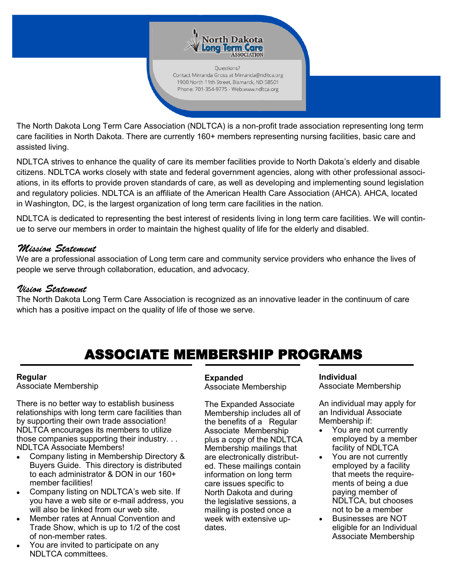

Ouestions? Contact Mirranda Gross at Mirranda@ndltca.org 1900 North 11th Street, Bismarck, ND 58501 Phone: 701-354-9775 - Web:www.ndltca.org

The North Dakota Long Term Care Association (NDLTCA) is a non-profit trade association representing long term care facilities in North Dakota. There are currently 160+ members representing nursing facilities, basic care and assisted living.

NDLTCA strives to enhance the quality of care its member facilities provide to North Dakota's elderly and disable citizens. NDLTCA works closely with state and federal government agencies, along with other professional associations, in its efforts to provide proven standards of care, as well as developing and implementing sound legislation and regulatory policies. NDLTCA is an affiliate of the American Health Care Association (AHCA). AHCA, located in Washington, DC, is the largest organization of long term care facilities in the nation.

NDLTCA is dedicated to representing the best interest of residents living in long term care facilities. We will continue to serve our members in order to maintain the highest quality of life for the elderly and disabled.

## Mission Statement

We are a professional association of Long term care and community service providers who enhance the lives of people we serve through collaboration, education, and advocacy.

### Vision Statement

The North Dakota Long Term Care Association is recognized as an innovative leader in the continuum of care which has a positive impact on the quality of life of those we serve.

# ASSOCIATE MEMBERSHIP PROGRAMS

### **Regular**

Associate Membership

There is no better way to establish business relationships with long term care facilities than by supporting their own trade association! NDLTCA encourages its members to utilize those companies supporting their industry. . . NDLTCA Associate Members!

- Company listing in Membership Directory & Buyers Guide. This directory is distributed to each administrator & DON in our 160+ member facilities!
- Company listing on NDLTCA's web site. If you have a web site or e-mail address, you will also be linked from our web site.
- Member rates at Annual Convention and Trade Show, which is up to 1/2 of the cost of non-member rates.
- You are invited to participate on any NDLTCA committees.

### **Expanded**

Associate Membership

The Expanded Associate Membership includes all of the benefits of a Regular Associate Membership plus a copy of the NDLTCA Membership mailings that are electronically distributed. These mailings contain information on long term care issues specific to North Dakota and during the legislative sessions, a mailing is posted once a week with extensive updates.

**Individual**  Associate Membership

An individual may apply for an Individual Associate Membership if:

- You are not currently employed by a member facility of NDLTCA
- You are not currently employed by a facility that meets the requirements of being a due paying member of NDLTCA, but chooses not to be a member
- Businesses are NOT eligible for an Individual Associate Membership